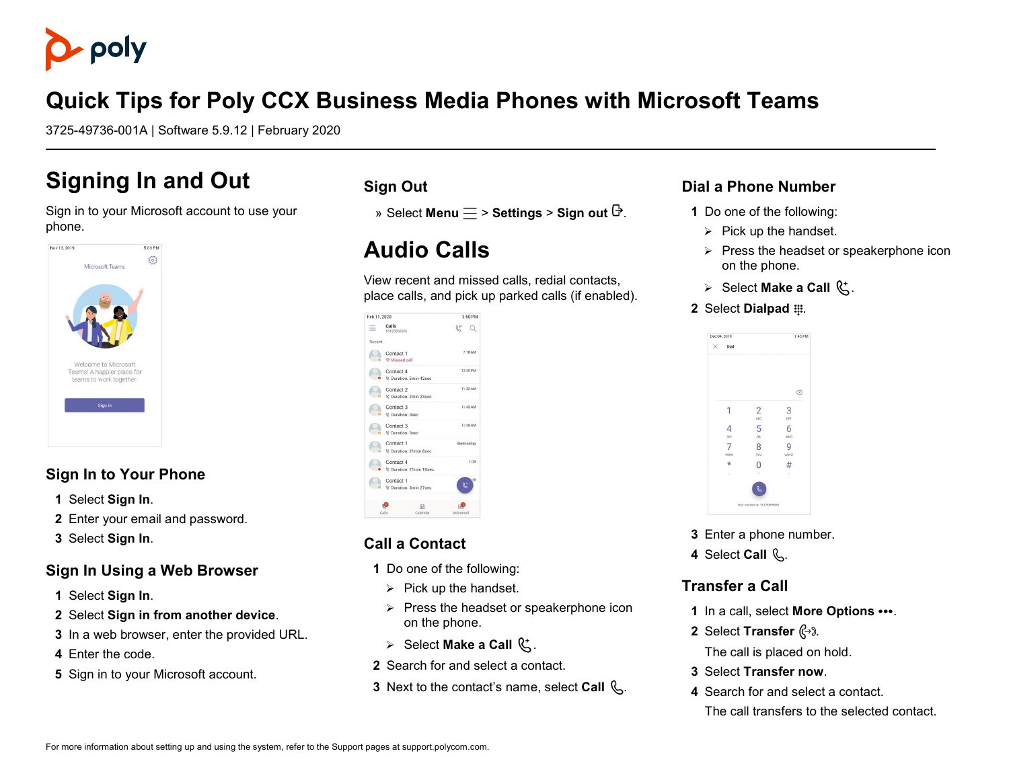

## **Quick Tips for Poly CCX Business Media Phones with Microsoft Teams**

3725-49736-001A | Software 5.9.12 | February 2020

## **Signing In and Out**

#### Sign in to your Microsoft account to use your phone.



### **Sign In to Your Phone**

- **1** Select **Sign In**.
- **2** Enter your email and password.
- **3** Select **Sign In**.

#### **Sign In Using a Web Browser**

- **1** Select **Sign In**.
- **2** Select **Sign in from another device**.
- **3** In a web browser, enter the provided URL.
- **4** Enter the code.
- **5** Sign in to your Microsoft account.

#### **Sign Out**

» Select **Menu**  $\equiv$  > **Settings** > Sign out  $\mathbb{F}$ .

## **Audio Calls**

View recent and missed calls, redial contacts, place calls, and pick up parked calls (if enabled).

| Feb 11, 2020                          |                                                  | 3:50 PM   |
|---------------------------------------|--------------------------------------------------|-----------|
| Calls<br>15125555555                  |                                                  | R۵        |
| Recent                                |                                                  |           |
| Contact 1<br><sup>@</sup> Missed call |                                                  | 7:18 AM   |
|                                       | Contact 4<br><sup>0</sup> Duration: 5min 42sec   |           |
|                                       | Contact 2<br><sup>02</sup> Duration: 2min 23sec  |           |
| Contact 3                             | <sup>02</sup> Duration: 0sec                     | 11:49 AM  |
| Contact 3                             | <sup>02</sup> Duration: 0sec                     | 11:48 AM  |
|                                       | Contact 1<br><sup>02</sup> Duration: 21min 8sec  |           |
|                                       | Contact 4<br><sup>9:</sup> Duration: 21min 10sec |           |
| Contact 1                             | & Duration: 3min 27sec                           | 28<br>D.  |
| Calls                                 | 田<br>Calendar                                    | Voicemail |

### **Call a Contact**

- **1** Do one of the following:
	- $\triangleright$  Pick up the handset.
	- $\triangleright$  Press the headset or speakerphone icon on the phone.
- $\triangleright$  Select **Make a Call**  $\mathbb{C}^{\mathsf{t}}$ .
- **2** Search for and select a contact.
- **3** Next to the contact's name, select **Call**  $\mathbb{Q}$ .

#### **Dial a Phone Number**

- **1** Do one of the following:
	- $\triangleright$  Pick up the handset.
	- $\triangleright$  Press the headset or speakerphone icon on the phone.
	- $\triangleright$  Select **Make a Call**  $\mathbb{C}^*$ .
- **2** Select **Dialpad** ...



- **3** Enter a phone number.
- 4 Select Call  $\mathbb{Q}$ .

#### **Transfer a Call**

- **1** In a call, select **More Options ...**
- **2** Select **Transfer**  $\mathbb{C}^3$ .

The call is placed on hold.

- **3** Select **Transfer now**.
- **4** Search for and select a contact. The call transfers to the selected contact.